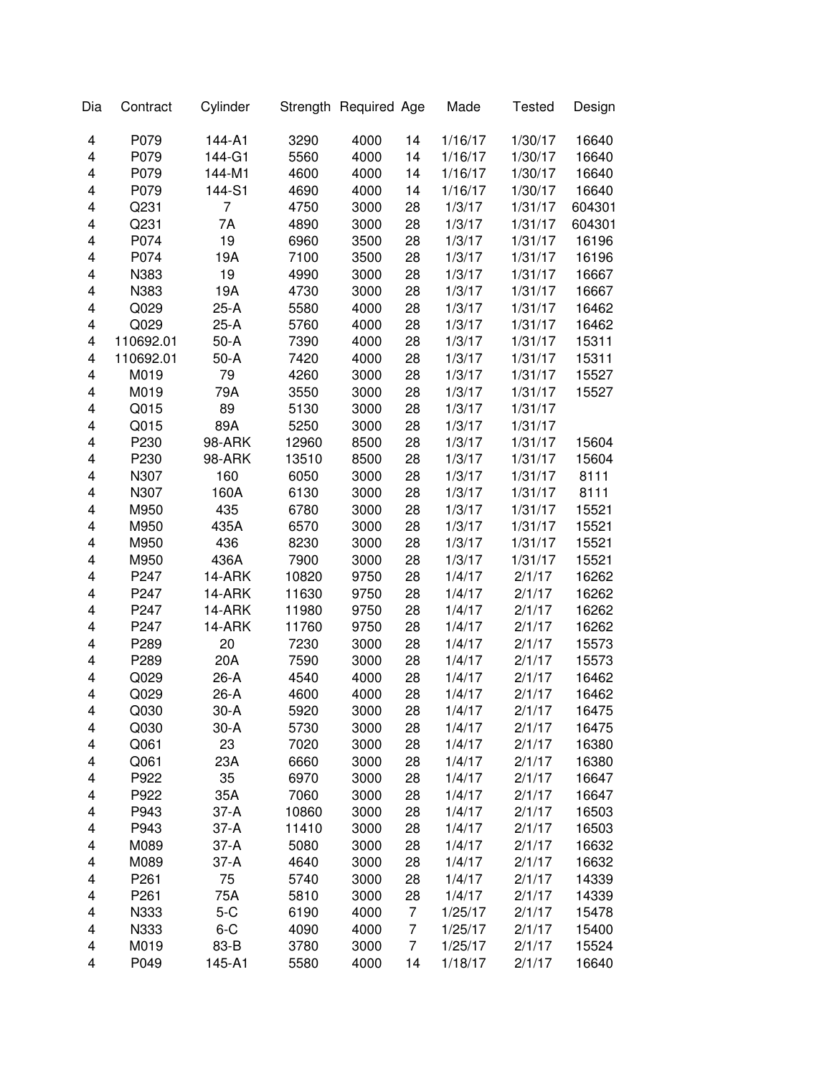| Dia | Contract         | Cylinder |       | Strength Required Age |    | Made    | <b>Tested</b> | Design |
|-----|------------------|----------|-------|-----------------------|----|---------|---------------|--------|
| 4   | P079             | 144-A1   | 3290  | 4000                  | 14 | 1/16/17 | 1/30/17       | 16640  |
| 4   | P079             | 144-G1   | 5560  | 4000                  | 14 | 1/16/17 | 1/30/17       | 16640  |
| 4   | P079             | 144-M1   | 4600  | 4000                  | 14 | 1/16/17 | 1/30/17       | 16640  |
| 4   | P079             | 144-S1   | 4690  | 4000                  | 14 | 1/16/17 | 1/30/17       | 16640  |
| 4   | Q231             | 7        | 4750  | 3000                  | 28 | 1/3/17  | 1/31/17       | 604301 |
| 4   | Q231             | 7A       | 4890  | 3000                  | 28 | 1/3/17  | 1/31/17       | 604301 |
| 4   | P074             | 19       | 6960  | 3500                  | 28 | 1/3/17  | 1/31/17       | 16196  |
| 4   | P074             | 19A      | 7100  | 3500                  | 28 | 1/3/17  | 1/31/17       | 16196  |
| 4   | N383             | 19       | 4990  | 3000                  | 28 | 1/3/17  | 1/31/17       | 16667  |
| 4   | N383             | 19A      | 4730  | 3000                  | 28 | 1/3/17  | 1/31/17       | 16667  |
| 4   | Q029             | 25-A     | 5580  | 4000                  | 28 | 1/3/17  | 1/31/17       | 16462  |
| 4   | Q029             | 25-A     | 5760  | 4000                  | 28 | 1/3/17  | 1/31/17       | 16462  |
| 4   | 110692.01        | $50-A$   | 7390  | 4000                  | 28 | 1/3/17  | 1/31/17       | 15311  |
| 4   | 110692.01        | $50-A$   | 7420  | 4000                  | 28 | 1/3/17  | 1/31/17       | 15311  |
| 4   | M019             | 79       | 4260  | 3000                  | 28 | 1/3/17  | 1/31/17       | 15527  |
| 4   | M019             | 79A      | 3550  | 3000                  | 28 | 1/3/17  | 1/31/17       | 15527  |
| 4   | Q015             | 89       | 5130  | 3000                  | 28 | 1/3/17  | 1/31/17       |        |
| 4   | Q015             | 89A      | 5250  | 3000                  | 28 | 1/3/17  | 1/31/17       |        |
| 4   | P230             | 98-ARK   | 12960 | 8500                  | 28 | 1/3/17  | 1/31/17       | 15604  |
| 4   | P230             | 98-ARK   | 13510 | 8500                  | 28 | 1/3/17  | 1/31/17       | 15604  |
| 4   | N307             | 160      | 6050  | 3000                  | 28 | 1/3/17  | 1/31/17       | 8111   |
| 4   | N307             | 160A     | 6130  | 3000                  | 28 | 1/3/17  | 1/31/17       | 8111   |
| 4   | M950             | 435      | 6780  | 3000                  | 28 | 1/3/17  | 1/31/17       | 15521  |
| 4   | M950             | 435A     | 6570  | 3000                  | 28 | 1/3/17  | 1/31/17       | 15521  |
| 4   | M950             | 436      | 8230  | 3000                  | 28 | 1/3/17  | 1/31/17       | 15521  |
| 4   | M950             | 436A     | 7900  | 3000                  | 28 | 1/3/17  | 1/31/17       | 15521  |
| 4   | P247             | 14-ARK   | 10820 | 9750                  | 28 | 1/4/17  | 2/1/17        | 16262  |
| 4   | P247             | 14-ARK   | 11630 | 9750                  | 28 | 1/4/17  | 2/1/17        | 16262  |
| 4   | P247             | 14-ARK   | 11980 | 9750                  | 28 | 1/4/17  | 2/1/17        | 16262  |
| 4   | P247             | 14-ARK   | 11760 | 9750                  | 28 | 1/4/17  | 2/1/17        | 16262  |
| 4   | P289             | 20       | 7230  | 3000                  | 28 | 1/4/17  | 2/1/17        | 15573  |
| 4   | P289             | 20A      | 7590  | 3000                  | 28 | 1/4/17  | 2/1/17        | 15573  |
| 4   | Q029             | 26-A     | 4540  | 4000                  | 28 | 1/4/17  | 2/1/17        | 16462  |
| 4   | Q029             | 26-A     | 4600  | 4000                  | 28 | 1/4/17  | 2/1/17        | 16462  |
| 4   | Q030             | 30-A     | 5920  | 3000                  | 28 | 1/4/17  | 2/1/17        | 16475  |
| 4   | Q030             | $30-A$   | 5730  | 3000                  | 28 | 1/4/17  | 2/1/17        | 16475  |
| 4   | Q061             | 23       | 7020  | 3000                  | 28 | 1/4/17  | 2/1/17        | 16380  |
| 4   | Q061             | 23A      | 6660  | 3000                  | 28 | 1/4/17  | 2/1/17        | 16380  |
| 4   | P922             | 35       | 6970  | 3000                  | 28 | 1/4/17  | 2/1/17        | 16647  |
| 4   | P922             | 35A      | 7060  | 3000                  | 28 | 1/4/17  | 2/1/17        | 16647  |
| 4   | P943             | 37-A     | 10860 | 3000                  | 28 | 1/4/17  | 2/1/17        | 16503  |
| 4   | P943             | 37-A     | 11410 | 3000                  | 28 | 1/4/17  | 2/1/17        | 16503  |
| 4   | M089             | 37-A     | 5080  | 3000                  | 28 | 1/4/17  | 2/1/17        | 16632  |
| 4   | M089             | 37-A     | 4640  | 3000                  | 28 | 1/4/17  | 2/1/17        | 16632  |
| 4   | P261             | 75       | 5740  | 3000                  | 28 | 1/4/17  | 2/1/17        | 14339  |
| 4   | P <sub>261</sub> | 75A      | 5810  | 3000                  | 28 | 1/4/17  | 2/1/17        | 14339  |
| 4   | N333             | $5-C$    | 6190  | 4000                  | 7  | 1/25/17 | 2/1/17        | 15478  |
| 4   | N333             | $6 - C$  | 4090  | 4000                  | 7  | 1/25/17 | 2/1/17        | 15400  |
| 4   | M019             | 83-B     | 3780  | 3000                  | 7  | 1/25/17 | 2/1/17        | 15524  |
| 4   | P049             | 145-A1   | 5580  | 4000                  | 14 | 1/18/17 | 2/1/17        | 16640  |
|     |                  |          |       |                       |    |         |               |        |